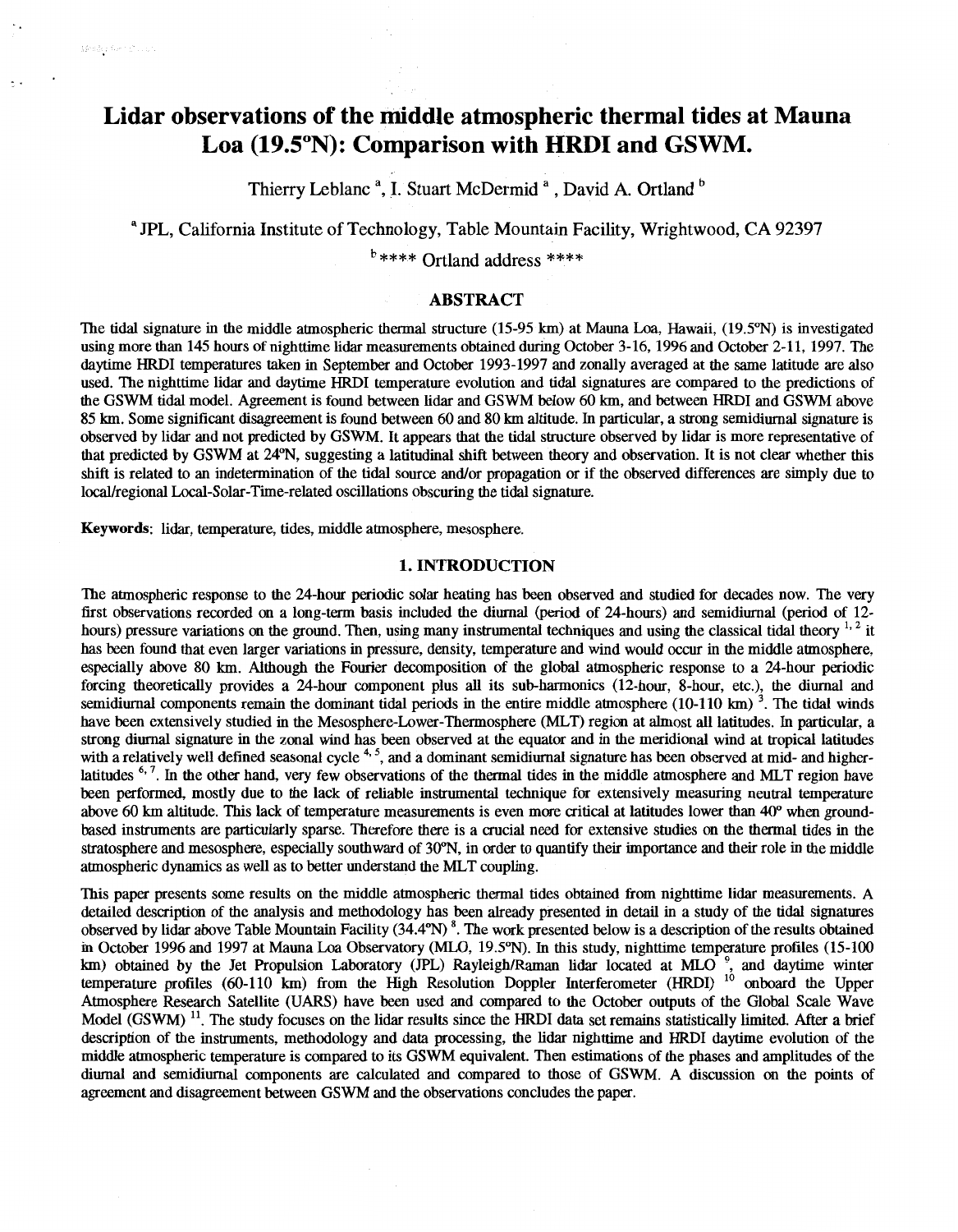Thierry Leblanc **a,** I. Stuart McDermid **a** , David A. Ortland

**<sup>a</sup>***JPL,* California Institute of Technology, Table Mountain Facility, Wrightwood, CA **92397** 

\*\*\*\* Ortland address \*\*\*\*

## **ABSTRACT**

The tidal signature in the middle atmospheric thermal structure (15-95 km) at Mama **Loa,** Hawaii, (19.5%) is investigated using more than 145 hours of nighttime lidar measurements obtained during October 3-16, 1996 and October 2-11, 1997. The daytime HRDI temperatures taken in September and October 1993-1997 and zonally averaged at the same latitude are also used. The nighttime lidar and daytime HRDI temperature evolution and tidal signatures are compared to the predictions of the GSWM tidal model. Agreement is found between lidar and GSWM below 60 km, and between HRDI and GSWM above 85 lan. Some significant disagreement is found between 60 and 80 **km** altitude. In particular, a strong semidiurnal signature is observed by lidar and not predicted by GSWM. Itappears that the tidal structure observed by lidar is more representative of that predicted by GSWM at 24"N, suggesting a latitudinal **shift** between theory and observation. It is not clear whether this shift is related to an indetermination of the tidal source and/or propagation or if the observed differences are simply due to local/regional Local-Solar-Time-related oscillations obscuring the tidal signature.

**Keywords:** lidar, temperature, tides, middle atmosphere, mesosphere.

Benderformen.com

### **1. INTRODUCTION**

The atmospheric response to the 24-hour periodic solar heating has been observed and studied for decades now. The very first observations recorded *on* a long-term basis included the diurnal *(period* of 24-hours) and semidiurnal (period of 12 hours) pressure variations on the ground. Then, using many instrumental techniques and using the classical tidal theory <sup>1, 2</sup> it has been found that even larger variations in pressure, density, temperature and wind would occur in the middle atmosphere, especially above 80 km. Although the Fourier decomposition of the global atmospheric response to a 24-hour periodic forcing theoretically provides a 24-hour component plus all its sub-harmonics (12-hour, 8-hour, etc.), the diurnal and semidiurnal components remain the dominant tidal periods in the entire middle atmosphere  $(10-110 \text{ km})^3$ . The tidal winds have been extensively studied in the Mesosphere-Lower-Thermosphere (MLT) region at almost all latitudes. In particular, a strong diurnal signature in the zonal wind has been observed at the equator and in the meridional wind at tropical latitudes with a relatively well defined seasonal cycle<sup>4,5</sup>, and a dominant semidiurnal signature has been observed at mid- and higherlatitudes *6\** '. In the other hand, very few observations of the thermal tides in the middle atmosphere and MLT region have been performed, mostly due to the lack of reliable instrumental technique for extensively measuring neutral temperature above *60* **km** altitude. This lack of temperature measurements is even more critical at latitudes lower than 40" when groundbased instruments are particularly sparse. Therefore there is a crucial need for extensive studies on the thermal tides in the stratosphere and mesosphere, especially southward of 3O"N, in order to quantify their importance and their role in the middle atmospheric dynamics as well as to better understand the MLT coupling.

This paper presents some results on the middle atmospheric thermal tides obtained from nighttime lidar measurements. **A**  detailed description of the analysis and methodology has been already presented in detail in a study of the tidal signatures observed by lidar above Table Mountain Facility (34.4°N)<sup>8</sup>. The work presented below is a description of the results obtained in October 1996 and 1997 at Mauna Loa Observatory (MLO, 19.5"N). In this study, nighttime temperature profiles (15-100 km) obtained by the Jet Propulsion Laboratory (JPL) Rayleigh/Raman lidar located at MLO  $\degree$ , and daytime win temperature profiles (60-110 km) from the High Resolution Doppler Interferometer (HRDI) Atmosphere Research Satellite **(UARS)** have been used and compared to the October outputs of the Global Scale Wave Model (GSWM)<sup>11</sup>. The study focuses on the lidar results since the HRDI data set remains statistically limited. After a brief description of the instruments, methodology and data processing, the lidar nighttime and HRDI daytime evolution of the middle atmospheric temperature is compared to its GSWM equivalent. Then estimations ofthe phases and amplitudes of the diurnal and semidiurnal components are calculated and compared to those of GSWM. A discussion *on* the points of agreement and disagreement between GSWM and the observations concludes the paper.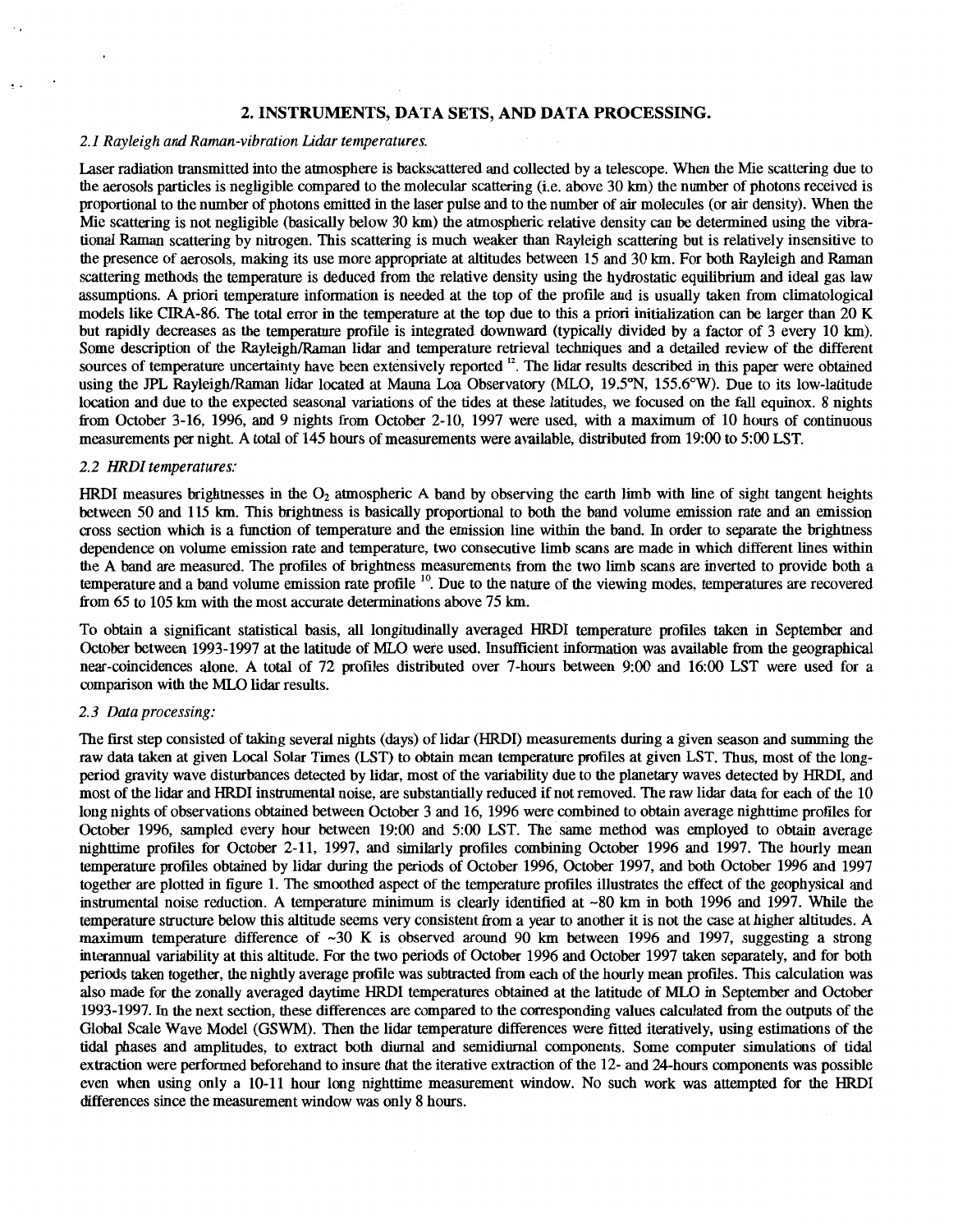## **2. INSTRUMENTS, DATA SETS, AND DATA PROCESSING.**

### *2.1 Rayleigh and Raman-vibration Lidar temperatures.*

Laser radiation transmitted into the atmosphere is backscattered and collected by a telescope. When the Mie scattering due to the aerosols particles is negligible compared to the molecular scattering (i.e. above 30 km) the number of photons received **is**  proportional to the number of photons emitted in the laser pulse and to the number of air molecules (or air density). When the Mie scattering is not negligible (basically below 30 km) the atmospheric relative density *can* be determined using the vibrational Raman scattering by nitrogen. This scattering is much weaker than Rayleigh scattering but is relatively insensitive to the presence of aerosols, making its use more appropriate at altitudes between 15 and 30 **km.** For both Rayleigh and Raman scattering methods the temperature is deduced from the relative density using the hydrostatic equilibrium and ideal gas law assumptions. **A** priori temperature information is needed at the top of the profile and is usually taken from climatological models like CIRA-86. The total error in the temperature at the top due to this a priori initialization can be larger than 20 K but rapidly decreases as the temperature profile is integrated downward (typically divided by a factor of 3 every 10 km). Some description of the Rayleigh/Raman lidar and temperature retrieval techniques and a detailed review of the different sources of temperature uncertainty have been extensively reported <sup>12</sup>. The lidar results described in this paper were obtained using the JPL Rayleigh/Raman lidar located at Mauna Loa Observatory (MLO, 19.5°N, 155.6°W). Due to its low-latitude location and due to the expected seasonal variations of the tides at these latitudes, we focused on the fall equinox. 8 nights from October 3-16, 1996, and 9 nights from October 2-10, 1997 were used, with a maximum of 10 hours of continuous measurements per night. A total of 145 hours of measurements were available, distributed from 19:00 to 5:00 LST.

### *2.2 HRDI temperatures:*

..

HRDI measures brightnesses in the  $O_2$  atmospheric A band by observing the earth limb with line of sight tangent heights between 50 and 115 km. This brightness is basically proportional to both the band volume emission rate and an emission cross section which is a function of temperature and the emission line within the band. In order to separate the brightness dependence on volume emission rate and temperature, two consecutive limb scans are made in which different lines within the **A** band are measured. The profiles of brightness measurements from the two limb scans are inverted to provide both a temperature and a band volume emission rate profile  $10$ . Due to the nature of the viewing modes, temperatures are recovered from 65 to 105 km with the most accurate determinations above 75 km.

To obtain a significant statistical basis, all longitudinally averaged HRDI temperature profiles taken in September and October between 1993-1997 at the latitude **of** MLO were used. Insufficient information was available from the geographical near-coincidences alone. **A** total of 72 profiles distributed over 7-hours between 9:OO and 16:OO LST were used for a comparison with the MLO lidar results.

### *2.3 Data processing:*

The first step consisted of taking several nights (days) of lidar (HRDI) measurements during a given season and summing the raw data taken at given Local Solar Times (LST) to obtain mean temperature profiles at given LST. Thus, most of the longperiod gravity wave disturbances detected by lidar, most of the variability due to the planetary waves detected by HRDI, and most of the lidar and HRDI instrumental noise, are substantially reduced if not removed. The raw lidar data for each of the 10 long nights of observations obtained between October 3 and 16, 1996 were combined to obtain average nighttime profiles for October 1996, sampled every hour between 19:00 and 5:00 LST. The same method was employed to obtain average nighttime profiles for October 2-11, 1997, and similarly profiles combining October 1996 and 1997. The hourly mean temperature profiles obtained by lidar during the periods of October 1996, October 1997, and both October 1996 and 1997 together are plotted in figure 1. The smoothed aspect of the temperature profiles illustrates the effect of the geophysical and instrumental noise reduction. **A** temperature minimum is clearly identified at -80 **km** in both 1996 and 1997. While the temperature structure below this altitude seems very consistent from a year to another it is not the case at higher altitudes. **A**  maximum temperature difference of -30 K is observed around 90 km between 1996 and 1997, suggesting a strong interannual variability at this altitude. For the two periods of October 1996 and October 1997 taken separately, and for both periods taken together, the nightly average profile was subtracted from each of te hourly mean profiles. This calculation was also made for the zonally averaged daytime HRDI temperatures obtained at the latitude of MLO in September and October 1993-1997. In the next section, these differences are compared to the corresponding values calculated from the outputs of the Global Scale Wave Model (GSWM). Then the lidar temperature differences were fitted iteratively, using estimations of the tidal phases and amplitudes, to extract both diurnal and semidiurnal components. Some computer simulations of tidal extraction were performed beforehand to insure that the iterative extraction of the 12- and 24-hours components was possible even when using only a 10-11 hour long nighttime measurement window. No such work was attempted for the HRDI differences since the measurement window was only **8** hours.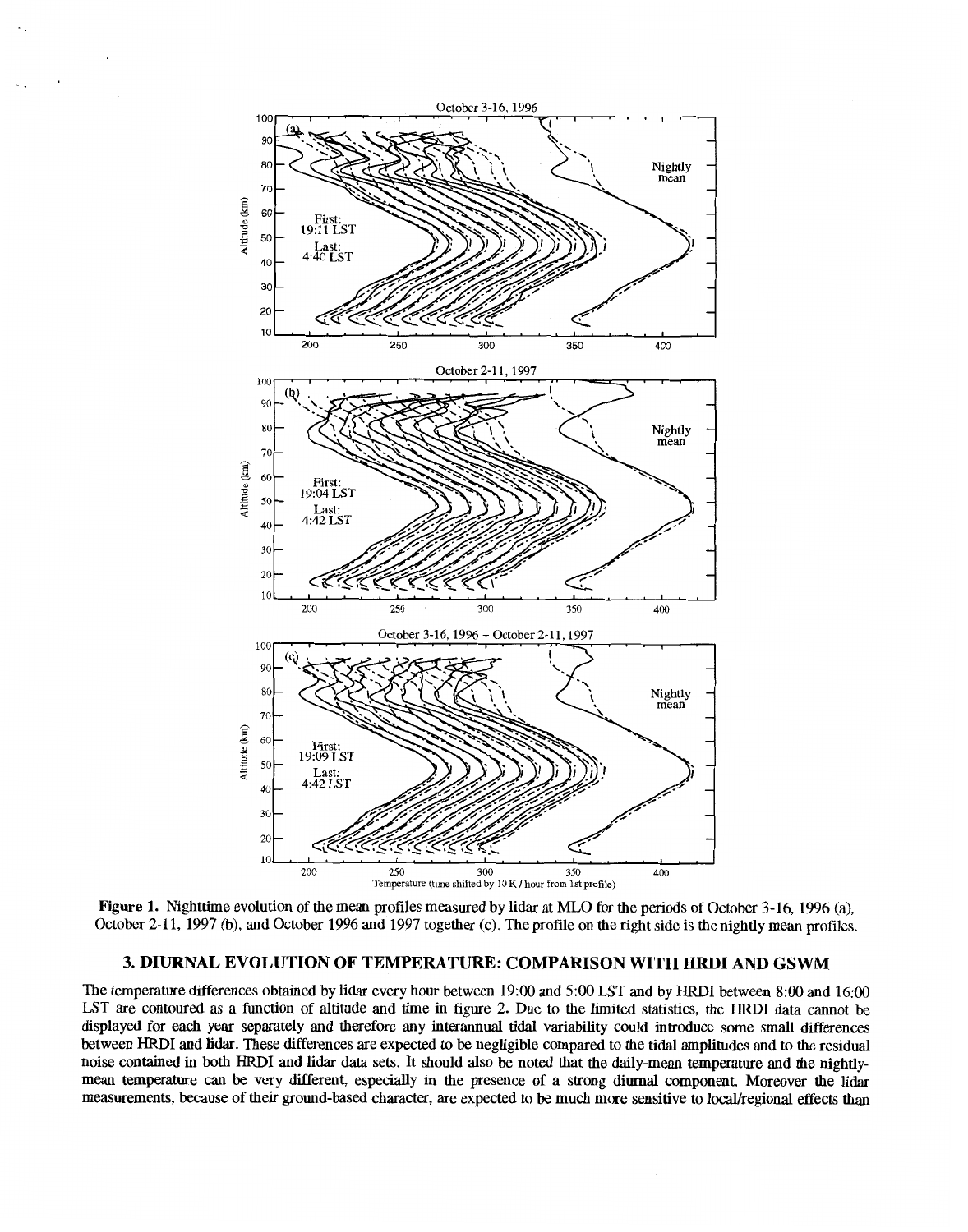

**Figure 1.** Nighttime evolution of the mean profiles measured by lidar at MLO for the periods of October 3-16, 1996 (a), October 2-11, 1997 (b), and October 1996 and 1997 together (c). The profile on the right side is the nightly mean profiles.

# **3. DIURNAL EVOLUTION OF TEMPERATURE: COMPARISON WITH HRDI AND GSWM**

The temperature differences obtained by lidar every hour between 19:oO and 5:OO **LST** and by HRDI between *8:OO* and 16:oO LST are contoured as a function of altitude and time in figure 2. Due to the limited statistics, the HRDI data cannot be displayed for each year separately and therefore any interannual tidal variability could introduce some small differences between HRDI and lidar. These differences are expected to be negligible compared to the tidal amplitudes and to the residual noise contained in both HRDI and lidar data sets. It should also be noted that the daily-mean temperature and the nightlymean temperature *can* be very different, especially in the presence of a strong diurnal component. Moreover the lidar measurements, because of their ground-based character, are expected to be much more sensitive to 1ocaUregional effects than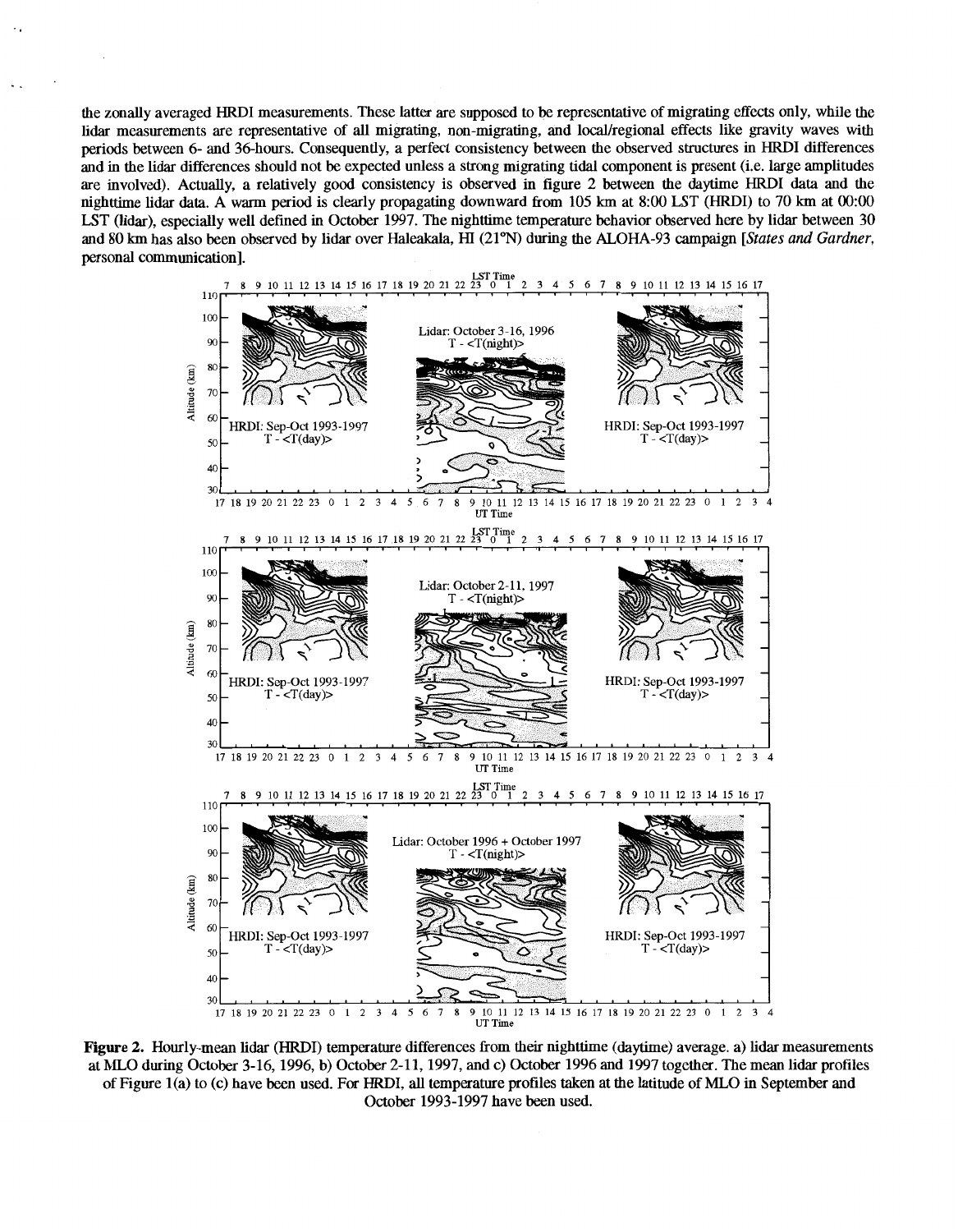the zonally averaged HRDI measurements. These latter are supposed to be representative of migrating effects only, while the lidar measurements are representative of all migrating, non-migrating, and local/regional effects like gravity waves with periods between **6-** and 36-hours. Consequently, a perfect consistency between the observed structures in HRDI differences and in the lidar differences should not be expected unless a strong migrating tidal component is present (i.e. large amplitudes are involved). Actually, a relatively good consistency is observed in figure **2** between the daytime HRDI data and the nighttime lidar data. A warm period is clearly propagating downward from **105** km at **8:OO** LST (HRDI) to **70** km at 0O:OO UT (lidar), especially well defined in October **1997.** The nighttime temperature behavior observed here by lidar between **30**  and **80** km has also been observed by lidar over Haleakala, HI **(21%)** during the **ALOHA-93** campaign *[States and Gardner,*  personal communication].



**Figure 2.** Hourly-mean lidar (HRDI) temperature differences from their nighttime (daytime) average. a) lidar measurements at MLO during October **3-16, 1996, b)** October **2-11, 1997,** and c) October **1996** and **1997** together. The mean lidar profiles of Figure l(a) to (c) have been used. For HRDI, alltemperature profiles taken at the latitude **of** MLO in September and October **1993-1997** have been used.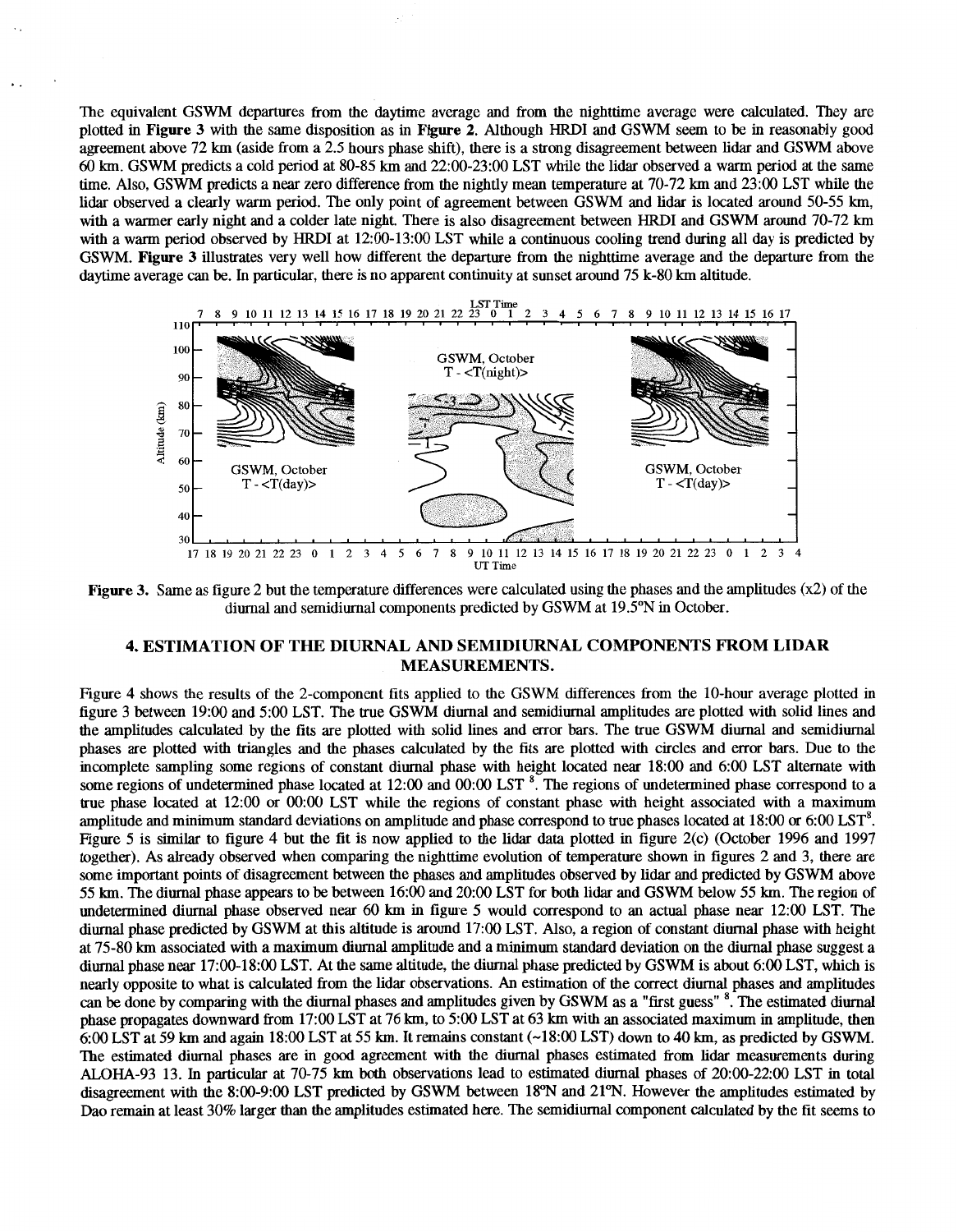<span id="page-4-0"></span>The equivalent GSWM departures from the daytime average and from the nighttime average were calculated. They are plotted in **Figure 3** with the same disposition as in **Figure** *2.* Although HRDI and GSWM seem to be in reasonably good agreement above 72 km (aside from a 2.5 hours phase shift), there is a strong disagreement between lidar and GSWM above *60* km. GSWM predicts a cold period at 80-85 km and 22:OO-23:OO LST while the lidar observed a warm period at the same time. Also, GSWM predicts a near zero difference from the nightly mean temperature at 70-72 km and 23:OO LST while the lidar observed a clearly warm period. The only point of agreement between GSWM and lidar is located around 50-55 km, with a warmer early night and a colder late night. There is also disagreement between HRDI and GSWM around 70-72 km with a warm period observed by HRDI at 12:00-13:00 LST while a continuous cooling trend during all day is predicted by GSWM. **Figure 3** illustrates very well how different the departure from the nighttime average and the departure from the daytime average *can* be. In particular, there is no apparent continuity at sunset around 75 **k-80** km altitude.



**Figure 3.** Same as figure 2 but the temperature differences were calculated using the phases and the amplitudes **(x2) of** the diurnal and semidiurnal components predicted by GSWM at 19.5"N in October.

# **4. ESTIMATION OF THE DIURNAL AND SEMIDIURNAL COMPONENTS FROM LIDAR MEASUREMENTS.**

[Figure](#page-5-0) **4** shows the results of the 2-component fits applied to the GSWM differences from the lO-hour average plotted in figure 3 between 19:OO and 5:OO LST. The true GSWM diurnal and semidiurnal amplitudes are plotted with solid lines and the amplitudes calculated by the fits are plotted with solid lines and error bars. The true GSWM diurnal and semidiurnal phases are plotted with triangles and the phases calculated by the fits are plotted with circles and error bars. Due to the incomplete sampling some regions of constant diurnal phase with height located near 18:OO and 6:OO LST alternate with some regions of undetermined phase located at 12:00 and 00:00 LST  $^8$ . The regions of undetermined phase correspond to a true phase located at  $12:00$  or  $00:00$  LST while the regions of constant phase with height associated with a maximum amplitude and minimum standard deviations on amplitude and phase correspond to true phases located at 18:OO *or* 6:OO LST'. Figure 5 is similar to [figure](#page-5-0) **4** but the fit is now applied to the lidar data plotted in figure 2(c) (October 1996 and 1997 together). As already observed when comparing the nighttime evolution of temperature shown in figures 2 and 3, there are some important points of disagreement between the phases and amplitudes observed by lidar and predicted by GSWM above *55* **km.** The diurnal phase appears to be between 16:OO and 20:OO LST for both lidar and GSWM below 55 km. The region of undetermined diurnal phase observed near 60 km in figure 5 would correspond to an actual phase near 12:00 LST. The diurnal phase predicted by GSWM at this altitude is around 17:OO LST. Also, a region of constant diurnal phase with height at 75-80 **km** associated with a maximum diurnal amplitude and a minimum standard deviation on the diurnal phase suggest a diurnal phase near 17:00-18:00 LST. At the same altitude, the diurnal phase predicted by GSWM is about 6:OO LST, which is nearly opposite to what is calculated from the lidar observations. **An** estimation of the correct diurnal phases and amplitudes *can* be done by comparing with the diurnal phases and amplitudes given by GSWM as a "first guess" \*. The estimated diurnal phase propagates downward from 17:OO LST at 76 km, to 5:OO LST at 63 km with an associated maximum in amplitude, then 6:OO LST at 59 **km** and again 18:OO LST at 55 **km.** It remains constant (-18:OO LST) down to **40** km, as predicted by GSWM. The estimated diurnal phases are in good agreement with the diurnal phases estimated from lidar measurements during ALOHA-93 13. In particular at 70-75 km both observations lead to estimated diurnal phases of 20:00-22:00 LST in total disagreement with the 8:OO-9:00 LST predicted by GSWM between 18"N and 21"N. However the amplitudes estimated by Dao remain at least 30% larger than the amplitudes estimated here. The semidiurnal component calculated by the fit seems to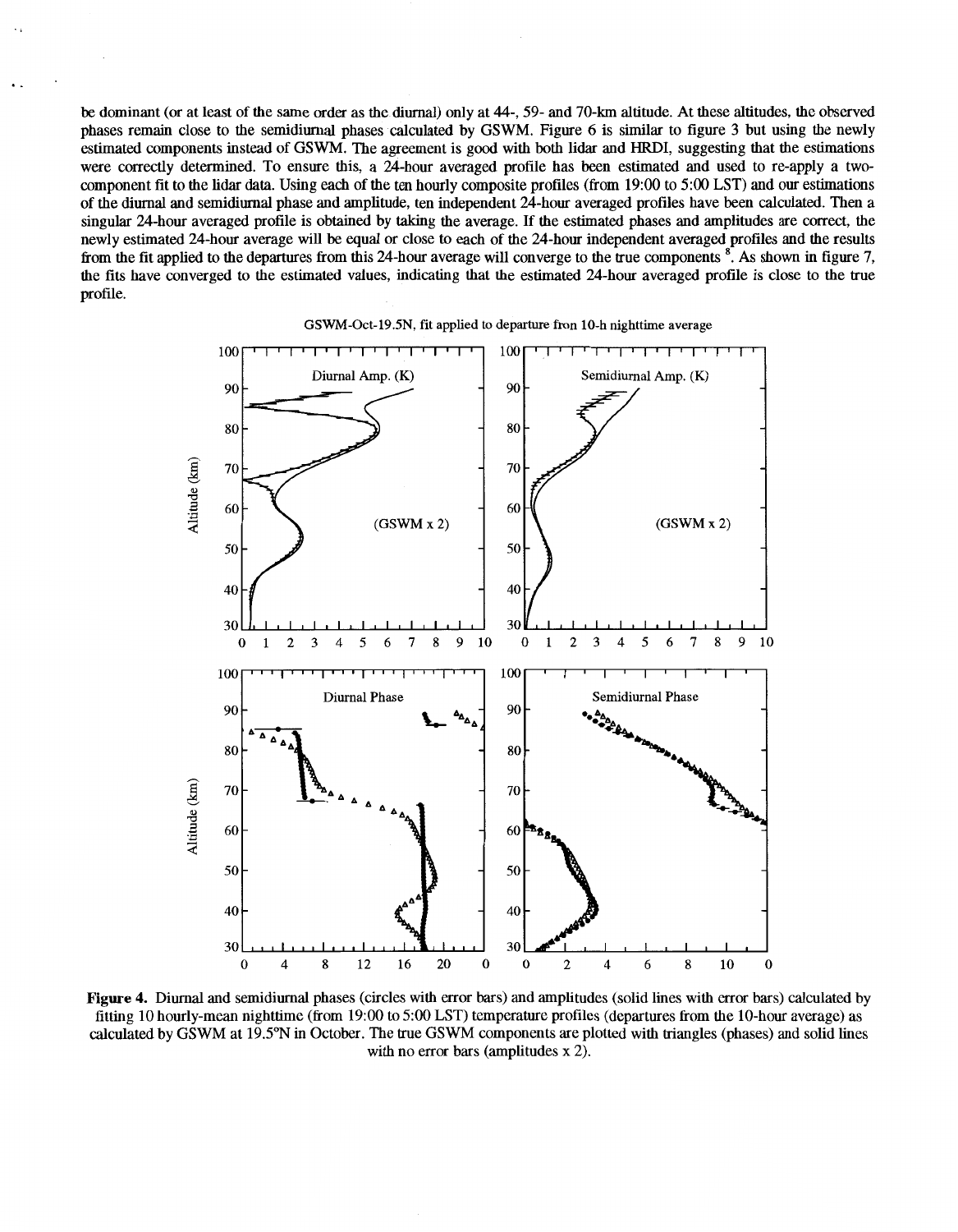be dominant (or at least of the same order as the diurnal) only at **44-,** 59- and 70-km altitude. At these altitudes, the observed phases remain close to the semidiurnal phases calculated by GSWM. Figure *6* is similar to [figure](#page-4-0) **3** but using the newly estimated components instead of GSWM. The agreement is good with both lidar and HRDI, suggesting that the estimations were correctly determined. To ensure this, a 24-hour averaged profile has been estimated and used to re-apply a twocomponent fit to the lidar **data.** Using each of the ten hourly composite profiles (fiom 19:OO to 5:OO LST) and our estimations of the diurnal and semidiurnal phase and amplitude, ten independent 24-hour averaged profiles have been calculated. Then a singular 24-hour averaged profile is obtained by taking the average. If the estimated phases and amplitudes are correct, the newly estimated 24-hour average will be equal *or* close to each of the 24-hour independent averaged profiles and the results Erom the fit applied to the departures from this 24-hour average will converge to the true components \*. **As** shown in figure 7, the fits have converged to the estimated values, indicating that the estimated 24-hour averaged profile is close to the true profile.

<span id="page-5-0"></span>..



GSWM-Oct-19.5N, fit applied to departure fron 10-h nighttime average

**Figure 4.** Diurnal and semidiurnal phases (circles with error bas) and amplitudes (solid lines with error bars) calculated by fitting 10 hourly-mean nighttime (from 19:00 to 5:00 LST) temperature profiles (departures from the 10-hour average) as calculated by GSWM at 19.5"N in October. The true GSWM components are plotted with triangles (phases) and solid lines with no error bars (amplitudes **x** 2).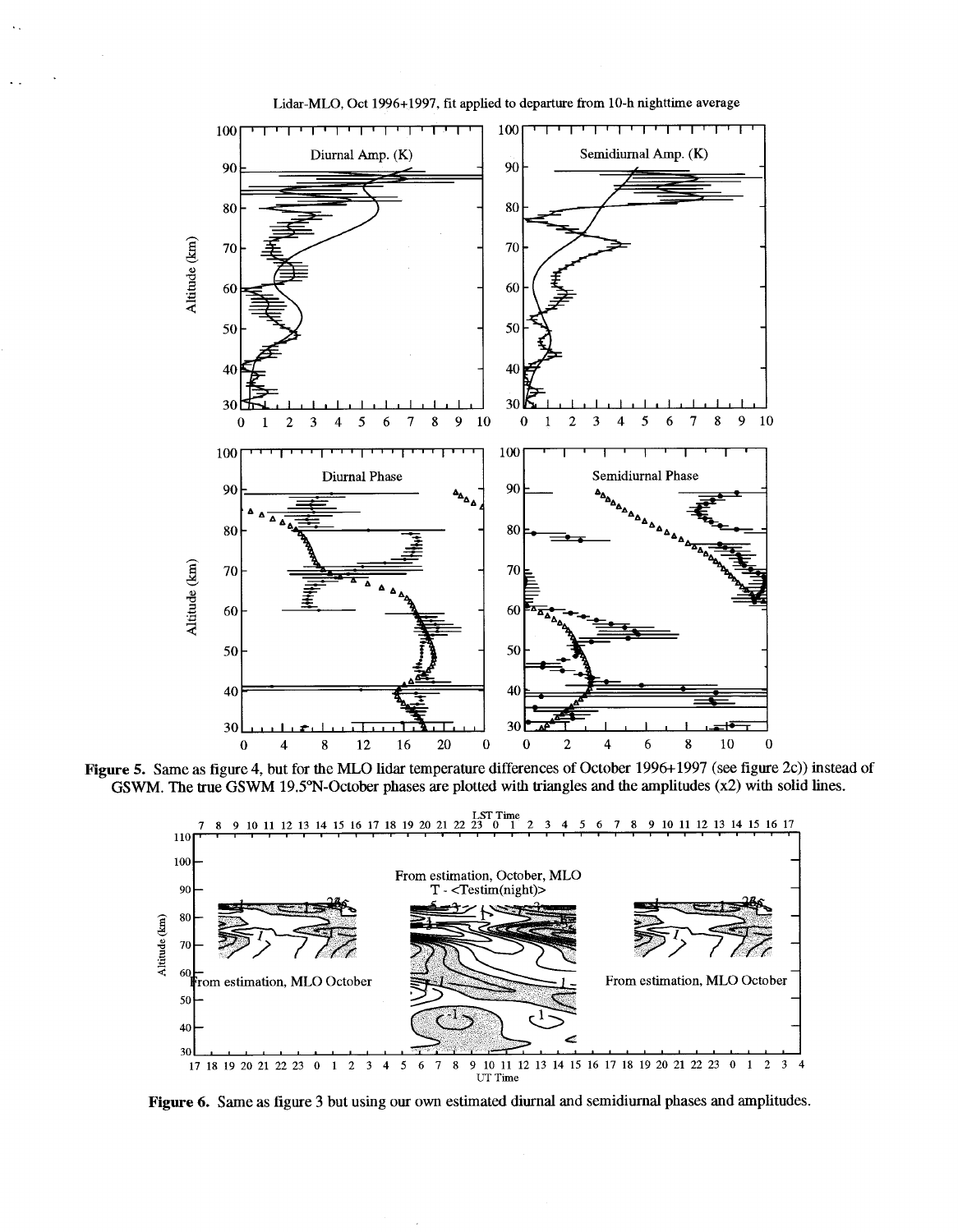

Lidar-MLO, **Oct** 1996+1997, **fit** applied **to** departure from 10-h nighttime average

Figure 5. Same as figure 4, but for the MLO lidar temperature differences of October 1996+1997 (see figure 2c)) instead of GSWM. The true GSWM 19.5°N-October phases are plotted with triangles and the amplitudes  $(x2)$  with solid lines.



Figure 6. Same as figure 3 but using our own estimated diurnal and semidiurnal phases and amplitudes.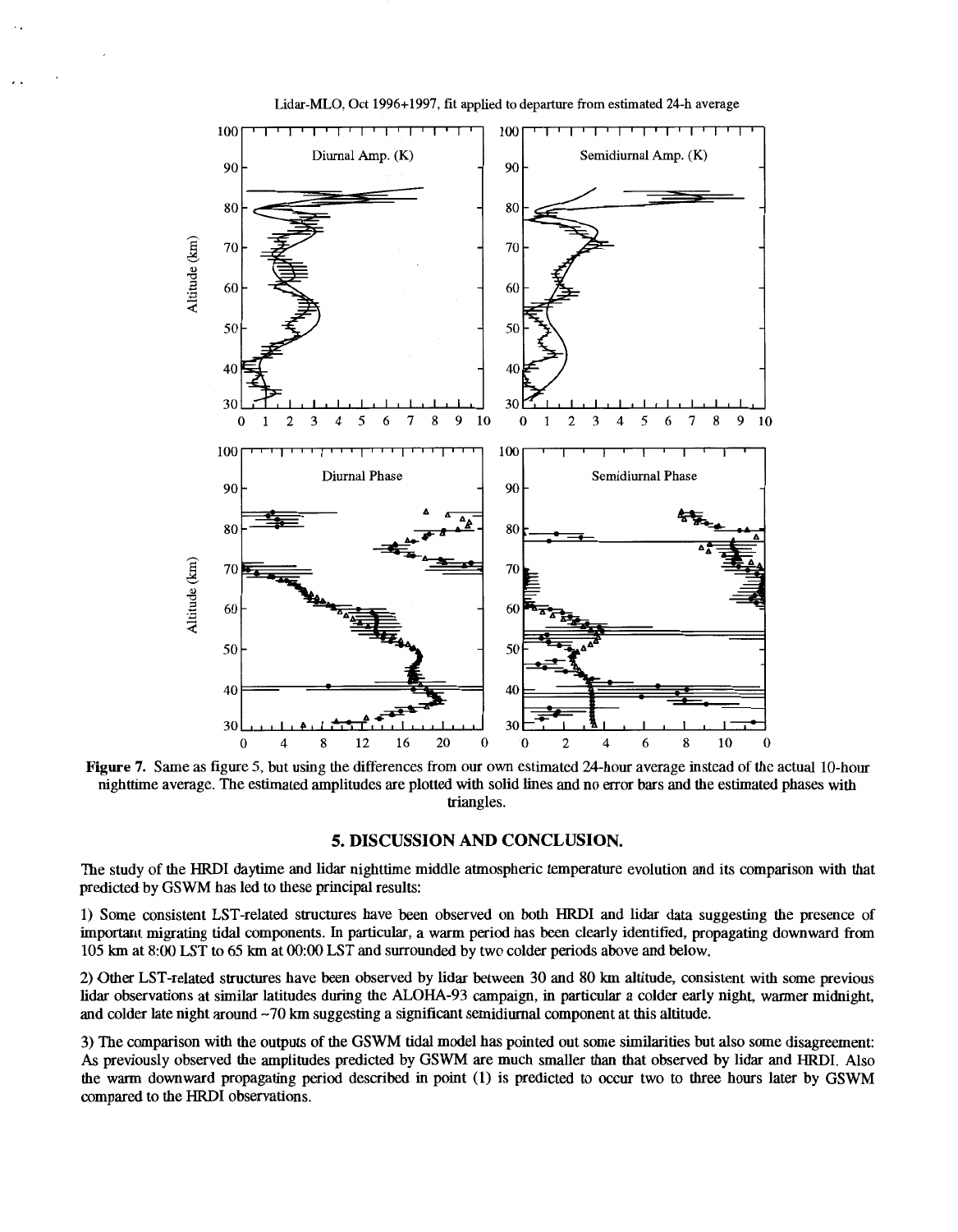

Lidar-MLO, Oct 1996+1997, fit applied **to** departure from estimated 24-h average

**Figure 7.** Same as figure 5, but using the differences from our own estimated 24-hour average instead ofthe actual 10-hour nighttime average. The estimated amplitudes are plotted withsolid lines and no *error* bars and the estimated phases with triangles.

## **5. DISCUSSION AND CONCLUSION.**

The study of the HRDI daytime and lidar nighttime middle atmospheric temperature evolution and its comparison with that predicted by GSWM has led to these principal results:

1) Some consistent LST-related structures have been observed on both HRDI and lidar data suggesting the presence of important migating tidal components. In particular, a warm period has been clearly identified, propagating downward from 105 lan at 8:oO LST to *65* lan at 0O:W LST and surrounded by two colder periods above and below.

2) Other LST-related structures have been observed by lidar between **30** and 80 km altitude, consistent with some previous lidar observations at similar latitudes during the **ALOHA-93** campaign, in particular a colder early night, warmer midnight, and colder late night around **-70** km suggesting a significant semidiumal component athis altitude.

*3)* The comparison with the outputs **of** the **GSWM** tidal model has pointed out some similarities but also some disagreement: **As** previously observed the amplitudes predicted by GSWM are much smaller than that observed by lidar and HRDI. Also the warm downward propagating period described in point **(1)** is predicted to occur two to three hours later by **GSWM**  compared to the HRDI observations.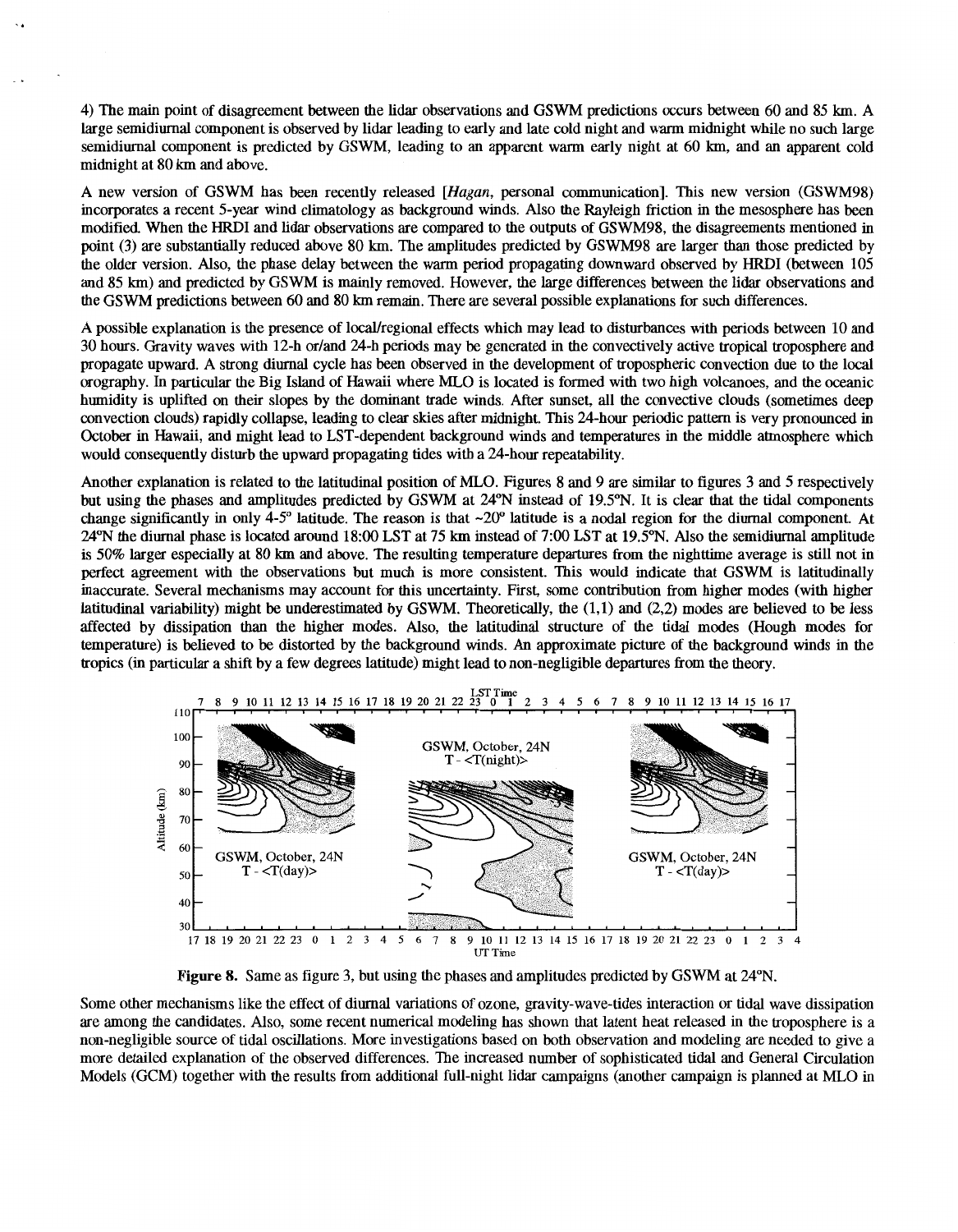4) The main point of disagreement between the lidar observations and GSWM predictions occurs between 60and 85 km. A large semidiurnal component is observed by lidar leading to early and late cold night and warm midnight while no such large semidiurnal component is predicted by GSWM, leading to an apparent warm early night at 60 km, and an apparent cold midnight at 80 **km** and above.

**A** new version of GSWM has been recently released *[Hagun,* personal communication]. This new version (GSWM98) incorporates a recent 5-year wind climatology as background winds. Also the Rayleigh friction in the mesosphere has been modified. When the HRDI and lidar observations are compared to the outputs of GSWM98, the disagreements mentioned in point **(3)** are substantially reduced above 80 km. The amplitudes predicted by GSWM98 are larger than those predicted by the older version. Also, the phase delay between the warm period propagating downward observed by HRDI (between 105 and 85 km) and predicted by GSWM is mainly removed. However, the large differences between the lidar observations and the GSWM predictions between 60 and 80 km remain. There are several possible explanations for such differences.

**A** possible explanation is the presence of local/regional effects which may lead to disturbances with periods between 10 and 30 hours. Gravity waves with 12-h or/and 24-h periods may be generated in the convectively active tropical troposphere and propagate upward. A strong diurnal cycle has been observed in the development of tropospheric convection due to the local orography. In particular the Big Island of Hawaii where MLO is located is formed with two high volcanoes, and the manic humidity is uplifted on their slopes by the dominant trade winds. After sunset, all the convective clouds (sometimes deep convection clouds) rapidly collapse, leading to clear skies after midnight. This 24-hour periodic pattern is very pronounced in October in Hawaii, and might lead to LST-dependent background winds and temperatures in the middle atmosphere which would consequently disturb the upward propagating tides with a 24-hour repeatability.

Another explanation is related to the latitudinal position of MLO. Figures **8** and 9 are similar to [figures](#page-4-0) **3** and *5* respectively but using the phases and amplitudes predicted by GSWM at 24"N instead of 19.5"N. It is clear that the tidal components change significantly in only 4-5° latitude. The reason is that  $\sim$ 20° latitude is a nodal region for the diurnal component. At *24%* the diurnal phase is located around 18:OO LST at *75* km instead of 790 LST at 19.5"N. *Also* the semidiurnal amplitude is 50% larger especially at **80 km** and above. The resulting temperature departures from the nighttime average is still not in perfect agreement with the observations but much is more consistent. This would indicate that GSWM is latitudinally inaccurate. Several mechanisms may account for this uncertainty. First, some contribution from higher modes (with higher latitudinal variability) might be underestimated by GSWM. Theoretically, the (1,1) and (2,2) modes are believed to be less affected by dissipation than the higher modes. Also, the latitudinal structure of the tidal modes (Hough modes for temperature) is believed to be distorted by the background winds. An approximate picture of the background winds in the tropics (in particular a shift by a few degrees latitude) might lead to non-negligible departures from the theory.



**Figure 8.** Same as figure **3,** but using the phases and amplitudes predicted by GSWM at 24"N.

Some other mechanisms like the effect **of** diurnal variations of ozone, gravity-wave-tides interaction or tidal wave dissipation are among the candidates. Also, some recent numerical modeling has shown that latent heat released in the troposphere is a non-negligible source of tidal oscillations. More investigations based on both observation and modeling are needed to give a more detailed explanation of the observed differences. The increased number of sophisticated tidal and General Circulation Models (GCM) together with the results from additional full-night lidar campaigns (another campaign is planned at MLO in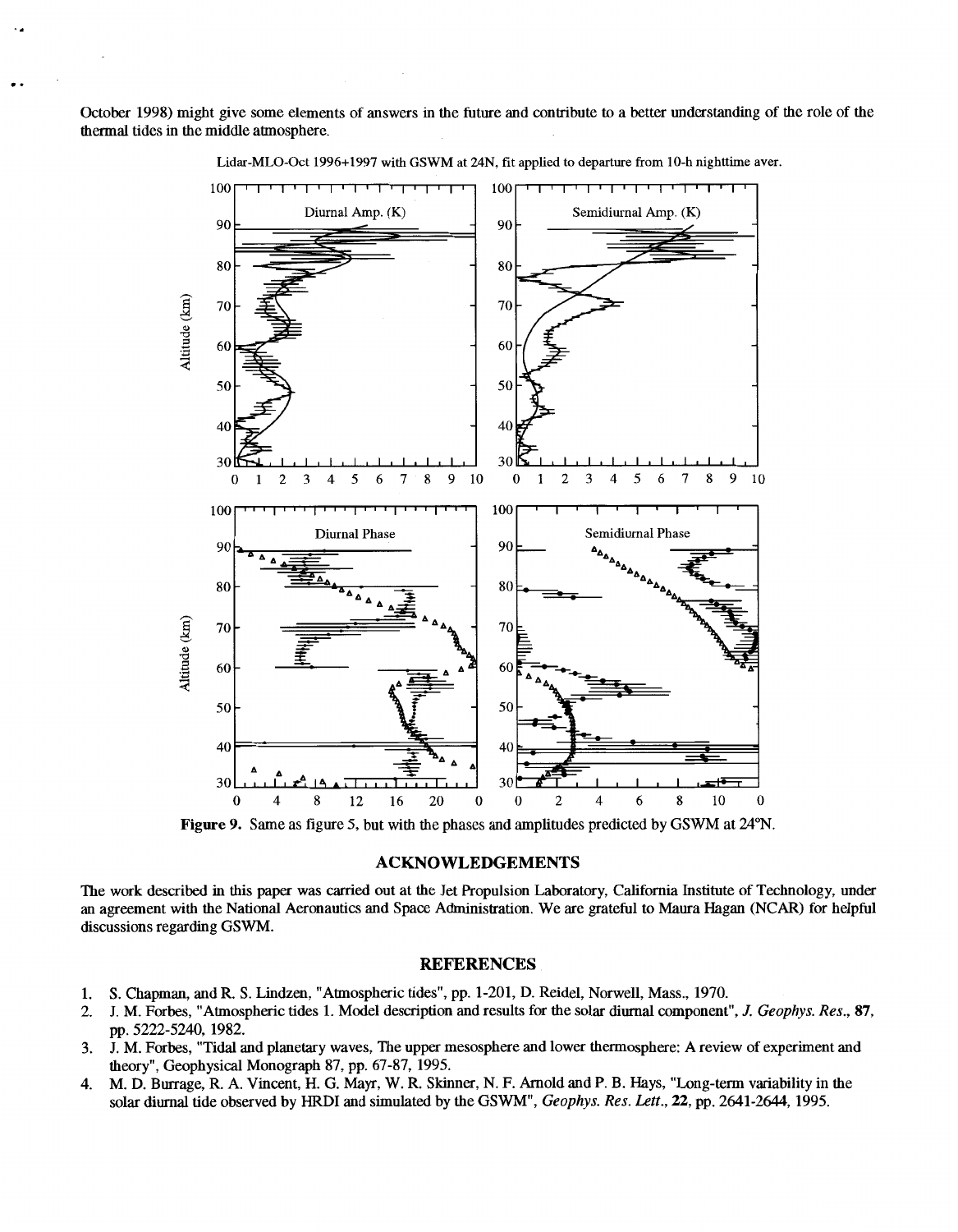October 1998) might give some elements ofanswers in the future and contribute to a better understanding **of** the role of the thermal tides in the middle atmosphere.



Lidar-MLO-Oct 1996+1997 with GSWM at **24N, fit** applied to departure from 10-h nighttime aver.

**Figure 9.** Same as figure 5, but with the phases and amplitudes predicted by GSWM at 24"N.

### **ACKNOWLEDGEMENTS**

The work described in this paper was carried out at the Jet Propulsion Laboratory, California Institute of Technology, under an agreement with the National Aeronautics and Space Administration. We are grateful to Maura Hagan (NCAR) for helpful discussions regarding GSWM.

### **REFERENCES**

- 1. **S.** Chapman, and R. **S.** Lindzen, "Atmospheric tides", pp. 1-201, D. Reidel, Norwell, Mass., 1970.
- 2. J. M. Forbes, "Atmospheric tides 1. Model description and results for the solar diurnal component", *J. Geophys. Res.,* **87,**  pp. 5222-5240, 1982.
- **3. J.** M. Forbes, "Tidal and planetary waves, The upper mesosphere and lower thermosphere: A review of experiment and theory", Geophysical Monograph 87, pp. 67-87,1995.
- 4. M. D. Burrage, R. A. Vincent, H. *G.* May, W. R. Skinner, N. F. Arnold and **P.** B. Hays, "Long-term variability in the solar diurnal tide observed by HRDI and simulated by the GSWM", *Geophys. Res. Lett., 22,* pp. 2641-2644,1995.